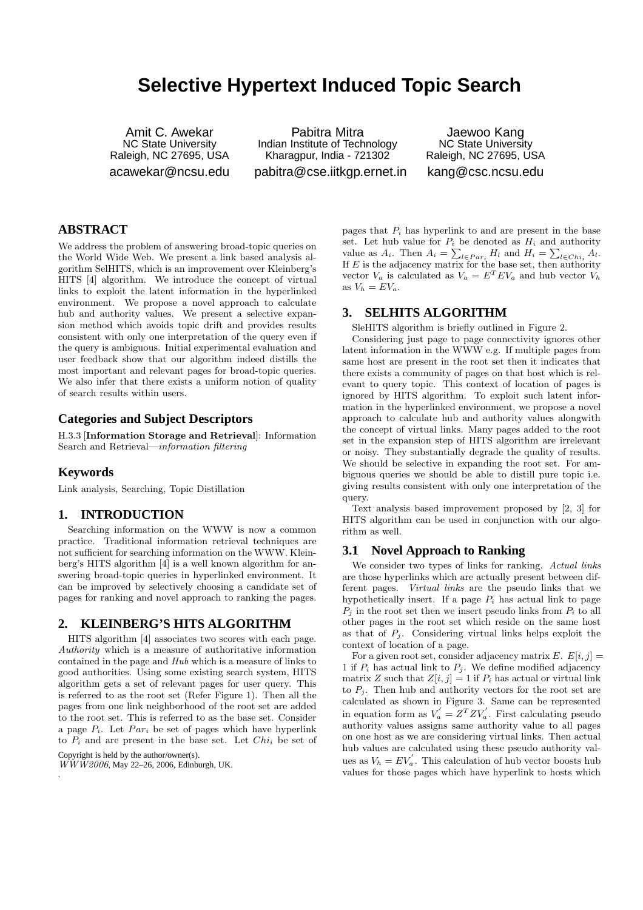# **Selective Hypertext Induced Topic Search**

Amit C. Awekar NC State University Raleigh, NC 27695, USA acawekar@ncsu.edu

Pabitra Mitra Indian Institute of Technology Kharagpur, India - 721302 pabitra@cse.iitkgp.ernet.in

Jaewoo Kang NC State University Raleigh, NC 27695, USA kang@csc.ncsu.edu

## **ABSTRACT**

We address the problem of answering broad-topic queries on the World Wide Web. We present a link based analysis algorithm SelHITS, which is an improvement over Kleinberg's HITS [4] algorithm. We introduce the concept of virtual links to exploit the latent information in the hyperlinked environment. We propose a novel approach to calculate hub and authority values. We present a selective expansion method which avoids topic drift and provides results consistent with only one interpretation of the query even if the query is ambiguous. Initial experimental evaluation and user feedback show that our algorithm indeed distills the most important and relevant pages for broad-topic queries. We also infer that there exists a uniform notion of quality of search results within users.

## **Categories and Subject Descriptors**

H.3.3 [Information Storage and Retrieval]: Information Search and Retrieval—information filtering

## **Keywords**

Link analysis, Searching, Topic Distillation

## **1. INTRODUCTION**

Searching information on the WWW is now a common practice. Traditional information retrieval techniques are not sufficient for searching information on the WWW. Kleinberg's HITS algorithm [4] is a well known algorithm for answering broad-topic queries in hyperlinked environment. It can be improved by selectively choosing a candidate set of pages for ranking and novel approach to ranking the pages.

## **2. KLEINBERG'S HITS ALGORITHM**

HITS algorithm [4] associates two scores with each page. Authority which is a measure of authoritative information contained in the page and Hub which is a measure of links to good authorities. Using some existing search system, HITS algorithm gets a set of relevant pages for user query. This is referred to as the root set (Refer Figure 1). Then all the pages from one link neighborhood of the root set are added to the root set. This is referred to as the base set. Consider a page  $P_i$ . Let  $Par_i$  be set of pages which have hyperlink to  $P_i$  and are present in the base set. Let  $Chi_i$  be set of

Copyright is held by the author/owner(s).

.

WWW2006, May 22–26, 2006, Edinburgh, UK.

pages that  $P_i$  has hyperlink to and are present in the base set. Let hub value for  $P_i$  be denoted as  $H_i$  and authority value as  $A_i$ . Then  $A_i = \sum_{l \in Par_i} H_l$  and  $H_i = \sum_{l \in Chi_i} A_l$ . If  $E$  is the adjacency matrix for the base set, then authority vector  $V_a$  is calculated as  $V_a = E^T E V_a$  and hub vector  $V_h$ as  $V_h = EV_a$ .

## **3. SELHITS ALGORITHM**

SleHITS algorithm is briefly outlined in Figure 2.

Considering just page to page connectivity ignores other latent information in the WWW e.g. If multiple pages from same host are present in the root set then it indicates that there exists a community of pages on that host which is relevant to query topic. This context of location of pages is ignored by HITS algorithm. To exploit such latent information in the hyperlinked environment, we propose a novel approach to calculate hub and authority values alongwith the concept of virtual links. Many pages added to the root set in the expansion step of HITS algorithm are irrelevant or noisy. They substantially degrade the quality of results. We should be selective in expanding the root set. For ambiguous queries we should be able to distill pure topic i.e. giving results consistent with only one interpretation of the query.

Text analysis based improvement proposed by [2, 3] for HITS algorithm can be used in conjunction with our algorithm as well.

## **3.1 Novel Approach to Ranking**

We consider two types of links for ranking. Actual links are those hyperlinks which are actually present between different pages. Virtual links are the pseudo links that we hypothetically insert. If a page  $P_i$  has actual link to page  $P_i$  in the root set then we insert pseudo links from  $P_i$  to all other pages in the root set which reside on the same host as that of  $P_i$ . Considering virtual links helps exploit the context of location of a page.

For a given root set, consider adjacency matrix E.  $E[i, j] =$ 1 if  $P_i$  has actual link to  $P_j$ . We define modified adjacency matrix Z such that  $Z[i, j] = 1$  if  $P_i$  has actual or virtual link to  $P_j$ . Then hub and authority vectors for the root set are calculated as shown in Figure 3. Same can be represented in equation form as  $V_a' = Z^T Z V_a'$ . First calculating pseudo authority values assigns same authority value to all pages on one host as we are considering virtual links. Then actual hub values are calculated using these pseudo authority values as  $V_h = EV'_a$ . This calculation of hub vector boosts hub values for those pages which have hyperlink to hosts which